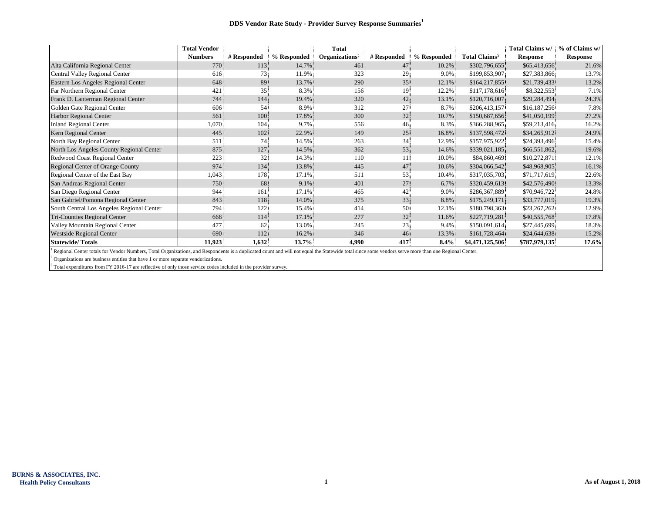|                                           | <b>Total Vendor</b> |             |             | <b>Total</b>               |                 |             |                           | Total Claims w/ | % of Claims w/  |
|-------------------------------------------|---------------------|-------------|-------------|----------------------------|-----------------|-------------|---------------------------|-----------------|-----------------|
|                                           | <b>Numbers</b>      | # Responded | % Responded | Organizations <sup>2</sup> | # Responded     | % Responded | Total Claims <sup>3</sup> | <b>Response</b> | <b>Response</b> |
| Alta California Regional Center           | 770                 | 113         | 14.7%       | 461                        | 47              | 10.2%       | \$302,796,655             | \$65,413,656    | 21.6%           |
| Central Valley Regional Center            | 616                 | 73          | 11.9%       | 323                        | 29              | 9.0%        | \$199,853,907             | \$27,383,866    | 13.7%           |
| Eastern Los Angeles Regional Center       | 648                 | 89          | 13.7%       | 290                        | 35              | 12.1%       | \$164,217,855             | \$21,739,433    | 13.2%           |
| Far Northern Regional Center              | 421                 | 35          | 8.3%        | 156                        | 19              | 12.2%       | \$117,178,616             | \$8,322,553     | 7.1%            |
| Frank D. Lanterman Regional Center        | 744                 | 144         | 19.4%       | 320                        | 42              | 13.1%       | \$120,716,007             | \$29,284,494    | 24.3%           |
| Golden Gate Regional Center               | 606                 | 54          | 8.9%        | 312                        | 27              | 8.7%        | \$206,413,157             | \$16,187,256    | 7.8%            |
| <b>Harbor Regional Center</b>             | 561                 | 100         | 17.8%       | 300                        | 32 <sup>2</sup> | 10.7%       | \$150,687,656             | \$41,050,199    | 27.2%           |
| <b>Inland Regional Center</b>             | 1,070               | 104         | 9.7%        | 556                        | 46              | 8.3%        | \$366,288,965             | \$59,213,416    | 16.2%           |
| Kern Regional Center                      | 445                 | 102         | 22.9%       | 149                        | 25              | 16.8%       | \$137,598,472             | \$34,265,912    | 24.9%           |
| North Bay Regional Center                 | 511                 | 74          | 14.5%       | 263                        | 34              | 12.9%       | \$157,975,922             | \$24,393,496    | 15.4%           |
| North Los Angeles County Regional Center  | 875                 | 127         | 14.5%       | 362                        | 53              | 14.6%       | \$339,021,185             | \$66,551,862    | 19.6%           |
| Redwood Coast Regional Center             | 223                 | 32          | 14.3%       | 110                        | 11.             | 10.0%       | \$84,860,469              | \$10,272,871    | 12.1%           |
| Regional Center of Orange County          | 974                 | 134         | 13.8%       | 445                        | 47              | 10.6%       | \$304,066,542             | \$48,968,905    | 16.1%           |
| Regional Center of the East Bay           | 1,043               | 178         | 17.1%       | 511                        | 53              | 10.4%       | \$317,035,703             | \$71,717,619    | 22.6%           |
| San Andreas Regional Center               | 750                 | 68          | $9.1\%$     | 401                        | 27              | 6.7%        | \$320,459,613             | \$42,576,490    | 13.3%           |
| San Diego Regional Center                 | 944                 | 161         | 17.1%       | 465                        | 42              | 9.0%        | \$286,367,889             | \$70,946,722    | 24.8%           |
| San Gabriel/Pomona Regional Center        | 843                 | 118         | 14.0%       | 375                        | 33              | 8.8%        | \$175,249,171             | \$33,777,019    | 19.3%           |
| South Central Los Angeles Regional Center | 794                 | 122         | 15.4%       | 414                        | 50              | 12.1%       | \$180,798,363             | \$23,267,262    | 12.9%           |
| Tri-Counties Regional Center              | 668                 | 114         | 17.1%       | 277                        | 32              | 11.6%       | \$227,719,281             | \$40,555,768    | 17.8%           |
| Valley Mountain Regional Center           | 477                 | 62          | 13.0%       | 245                        | 23              | 9.4%        | \$150,091,614             | \$27,445,699    | 18.3%           |
| <b>Westside Regional Center</b>           | 690                 | 112         | 16.2%       | 346                        | 46              | 13.3%       | \$161,728,464             | \$24,644,638    | 15.2%           |
| <b>Statewide/Totals</b>                   | 11,923              | 1,632       | 13.7%       | 4,990                      | 417             | $8.4\%$     | \$4,471,125,506           | \$787,979,135   | 17.6%           |

<sup>1</sup> Regional Center totals for Vendor Numbers, Total Organizations, and Respondents is a duplicated count and will not equal the Statewide total since some vendors serve more than one Regional Center.

 $2$  Organizations are business entities that have 1 or more separate vendorizations.

<sup>3</sup> Total expenditures from FY 2016-17 are reflective of only those service codes included in the provider survey.